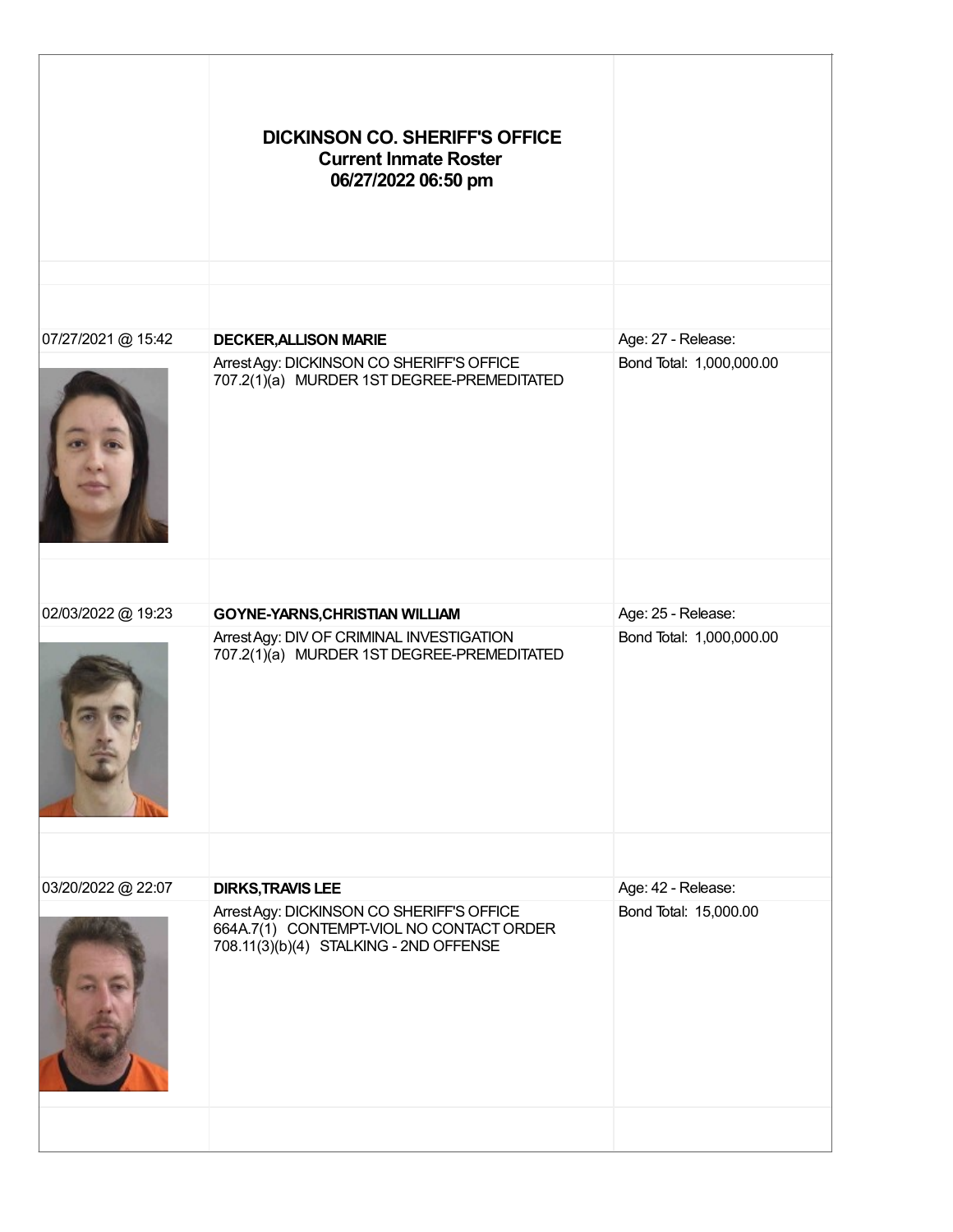|                    | <b>DICKINSON CO. SHERIFF'S OFFICE</b><br><b>Current Inmate Roster</b><br>06/27/2022 06:50 pm                                    |                          |
|--------------------|---------------------------------------------------------------------------------------------------------------------------------|--------------------------|
|                    |                                                                                                                                 |                          |
| 07/27/2021 @ 15:42 | <b>DECKER, ALLISON MARIE</b>                                                                                                    | Age: 27 - Release:       |
|                    | Arrest Agy: DICKINSON CO SHERIFF'S OFFICE<br>707.2(1)(a) MURDER 1ST DEGREE-PREMEDITATED                                         | Bond Total: 1,000,000.00 |
|                    |                                                                                                                                 |                          |
| 02/03/2022 @ 19:23 | <b>GOYNE-YARNS, CHRISTIAN WILLIAM</b>                                                                                           | Age: 25 - Release:       |
|                    | Arrest Agy: DIV OF CRIMINAL INVESTIGATION<br>707.2(1)(a) MURDER 1ST DEGREE-PREMEDITATED                                         | Bond Total: 1,000,000.00 |
|                    |                                                                                                                                 |                          |
| 03/20/2022 @ 22:07 | <b>DIRKS, TRAVIS LEE</b>                                                                                                        | Age: 42 - Release:       |
|                    | Arrest Agy: DICKINSON CO SHERIFF'S OFFICE<br>664A.7(1) CONTEMPT-VIOL NO CONTACT ORDER<br>708.11(3)(b)(4) STALKING - 2ND OFFENSE | Bond Total: 15,000.00    |
|                    |                                                                                                                                 |                          |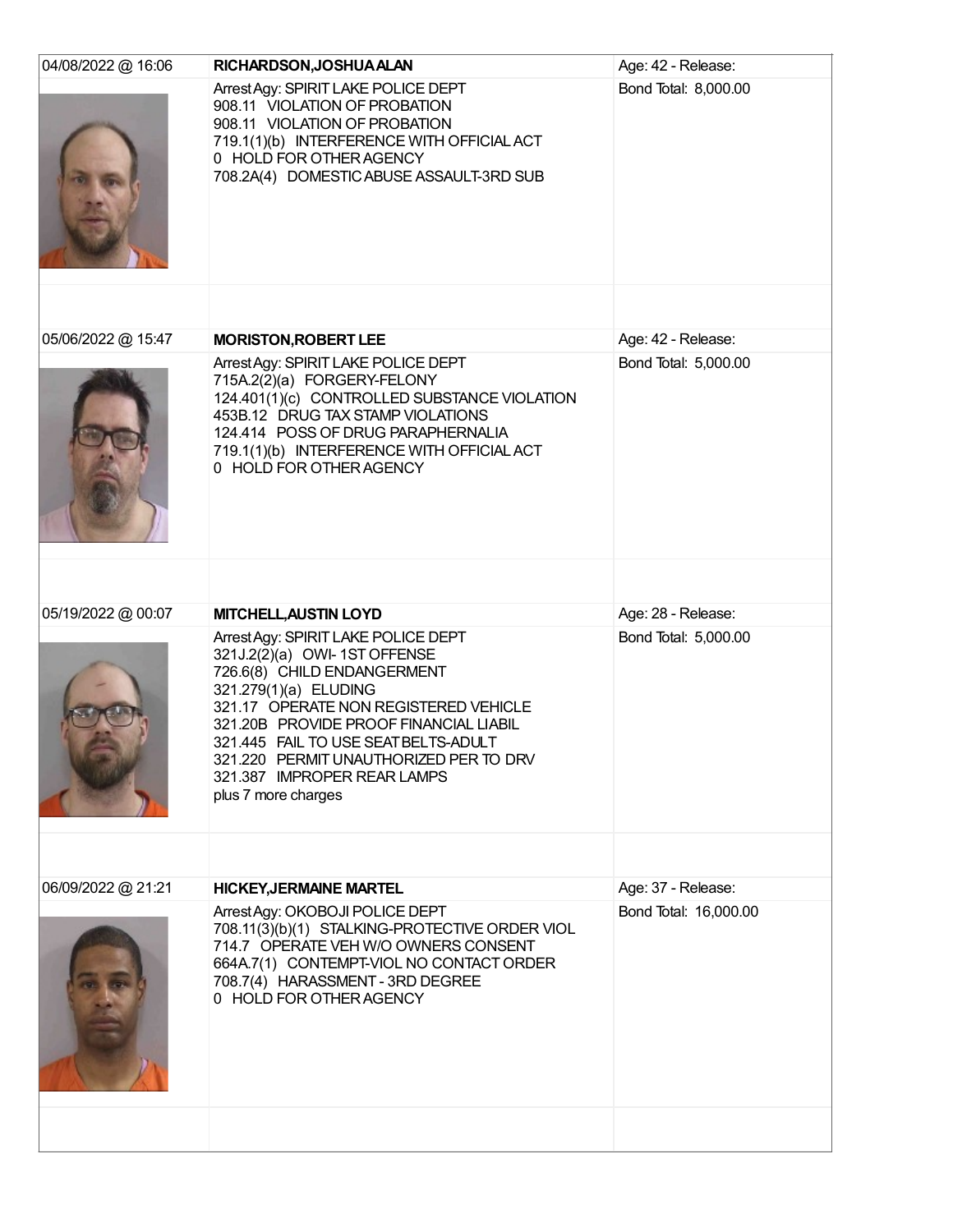| 04/08/2022 @ 16:06 | RICHARDSON, JOSHUA ALAN                                                                                                                                                                                                                                                                                                                                 | Age: 42 - Release:    |
|--------------------|---------------------------------------------------------------------------------------------------------------------------------------------------------------------------------------------------------------------------------------------------------------------------------------------------------------------------------------------------------|-----------------------|
|                    | Arrest Agy: SPIRIT LAKE POLICE DEPT<br>908.11 VIOLATION OF PROBATION<br>908.11 VIOLATION OF PROBATION<br>719.1(1)(b) INTERFERENCE WITH OFFICIAL ACT<br>0 HOLD FOR OTHER AGENCY<br>708.2A(4) DOMESTIC ABUSE ASSAULT-3RD SUB                                                                                                                              | Bond Total: 8,000.00  |
|                    |                                                                                                                                                                                                                                                                                                                                                         |                       |
| 05/06/2022 @ 15:47 | <b>MORISTON, ROBERT LEE</b>                                                                                                                                                                                                                                                                                                                             | Age: 42 - Release:    |
|                    | Arrest Agy: SPIRIT LAKE POLICE DEPT<br>715A.2(2)(a) FORGERY-FELONY<br>124.401(1)(c) CONTROLLED SUBSTANCE VIOLATION<br>453B.12 DRUG TAX STAMP VIOLATIONS<br>124.414 POSS OF DRUG PARAPHERNALIA<br>719.1(1)(b) INTERFERENCE WITH OFFICIAL ACT<br>0 HOLD FOR OTHER AGENCY                                                                                  | Bond Total: 5,000.00  |
|                    |                                                                                                                                                                                                                                                                                                                                                         |                       |
| 05/19/2022 @ 00:07 | <b>MITCHELL, AUSTIN LOYD</b>                                                                                                                                                                                                                                                                                                                            | Age: 28 - Release:    |
|                    | Arrest Agy: SPIRIT LAKE POLICE DEPT<br>321J.2(2)(a) OWI- 1ST OFFENSE<br>726.6(8) CHILD ENDANGERMENT<br>321.279(1)(a) ELUDING<br>321.17 OPERATE NON REGISTERED VEHICLE<br>321.20B PROVIDE PROOF FINANCIAL LIABIL<br>321.445 FAIL TO USE SEAT BELTS-ADULT<br>321.220 PERMIT UNAUTHORIZED PER TO DRV<br>321.387 IMPROPER REAR LAMPS<br>plus 7 more charges | Bond Total: 5,000.00  |
|                    |                                                                                                                                                                                                                                                                                                                                                         |                       |
| 06/09/2022 @ 21:21 | <b>HICKEY, JERMAINE MARTEL</b>                                                                                                                                                                                                                                                                                                                          | Age: 37 - Release:    |
|                    | Arrest Agy: OKOBOJI POLICE DEPT<br>708.11(3)(b)(1) STALKING-PROTECTIVE ORDER VIOL<br>714.7 OPERATE VEH W/O OWNERS CONSENT<br>664A.7(1) CONTEMPT-VIOL NO CONTACT ORDER<br>708.7(4) HARASSMENT - 3RD DEGREE<br>0 HOLD FOR OTHER AGENCY                                                                                                                    | Bond Total: 16,000.00 |
|                    |                                                                                                                                                                                                                                                                                                                                                         |                       |